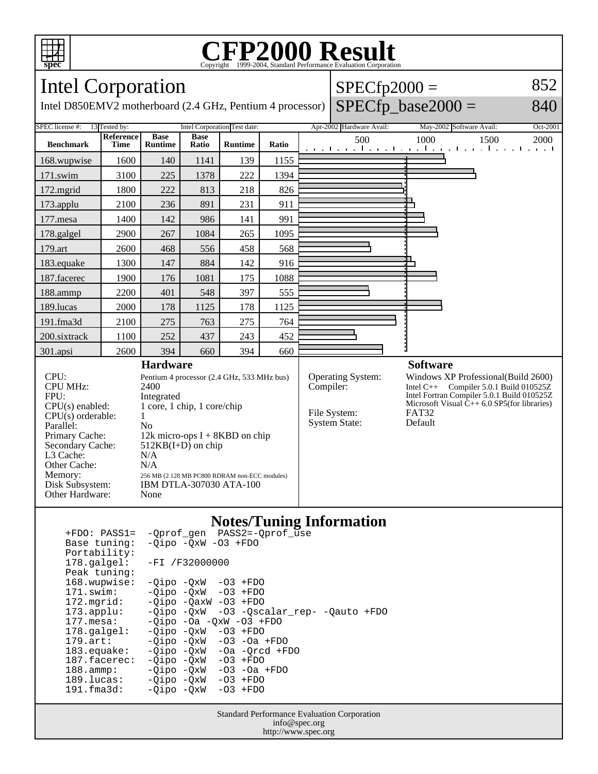

### **CFP2000 Result** Copyright ©1999-2004, Standard P

#### Intel Corporation Intel D850EMV2 motherboard (2.4 GHz, Pentium 4 processor)  $SPECfp2000 =$  $SPECfp\_base2000 =$ 852 840 SPEC license #: 13 Tested by: Intel Corporation Test date: Apr-2002 Hardware Avail: May-2002 Software Avail: Oct-2001 **Benchmark Reference Time Base Runtime Base Ratio Runtime Ratio** 500 1000 1500 2000 168.wupwise 1600 140 1141 139 1155 171.swim | 3100 | 225 | 1378 | 222 | 1394 172.mgrid | 1800 | 222 | 813 | 218 | 826 173.applu | 2100 | 236 | 891 | 231 | 911 177.mesa | 1400 | 142 | 986 | 141 | 991 178.galgel | 2900 | 267 | 1084 | 265 | 1095 179.art | 2600 | 468 | 556 | 458 | 568 183.equake 1300 147 884 142 916 187.facerec | 1900 | 176 | 1081 | 175 | 1088 188.ammp | 2200 | 401 | 548 | 397 | 555 189.lucas | 2000 | 178 | 1125 | 178 | 1125 191.fma3d 2100 275 763 275 764 200.sixtrack 1100 252 437 243 452 301.apsi 2600 394 660 394 660 **Hardware** CPU: Pentium 4 processor (2.4 GHz, 533 MHz bus)<br>CPU MHz: 2400 CPU MHz: FPU: Integrated CPU(s) enabled: 1 core, 1 chip, 1 core/chip  $CPU(s)$  orderable:  $1$ Parallel: No<br>Primary Cache: 12k 12k micro-ops  $I + 8KBD$  on chip Secondary Cache: 512KB(I+D) on chip L3 Cache: N/A<br>Other Cache: N/A Other Cache:<br>Memory: 256 MB (2 128 MB PC800 RDRAM non-ECC modules) Disk Subsystem: IBM DTLA-307030 ATA-100 Other Hardware: None **Software** Operating System: Windows XP Professional(Build 2600)<br>Compiler: Intel C++ Compiler 5.0.1 Build 010525Z Intel  $C_{++}$  Compiler 5.0.1 Build 010525Z Intel Fortran Compiler 5.0.1 Build 010525Z Microsoft Visual  $\hat{C}_{++}$  6.0 SP5(for libraries)<br>FAT32 File System: FAT32<br>System State: Default System State:

### **Notes/Tuning Information**

| $+FDO: PASS1=$        | -Oprof gen PASS2=-Oprof use                |
|-----------------------|--------------------------------------------|
| Base tuning:          | $-Oipo$ $-OxW$ $-O3$ $+FDO$                |
| Portability:          |                                            |
| 178.galgel:           | $-FI / F32000000$                          |
| Peak tuning:          |                                            |
| 168.wupwise:          | $-Oipo -OXW -O3 + FDO$                     |
| 171.swim:             | $-Oipo$ $-OxW$ $-O3$ $+FDO$                |
| 172.mgrid:            | $-Oipo -OaxW -O3 + FDO$                    |
| $173.\text{applu}:$   | $-Qipo -QxW -O3 -Qscalar rep- -Qauto +FDO$ |
| $177.\text{mesa}:$    | $-Oipo -Oa -OXW -O3 + FDO$                 |
| $178.\text{qalgel}$ : | $-Oipo -OXW - O3 + FDO$                    |
| $179.\text{art}:$     | $-Oipo$ $-OxW$ $-O3$ $-Oa$ $+FDO$          |
| $183.\n$ equake:      | $-Qipo -QxW -Oa -Qrcd +FDO$                |
| $187.$ facerec:       | $-Oipo -OXW - O3 + FDO$                    |
| $188.\text{amp}:$     | $-Oipo$ $-OxW$ $-O3$ $-Oa$ $+FDO$          |
| 189.lucas:            | $-Oipo$ $-OxW$ $-O3$ $+FDO$                |
| $191.f$ ma $3d$ :     | $-Oipo -QxW -O3 + FDO$                     |
|                       |                                            |

Standard Performance Evaluation Corporation info@spec.org http://www.spec.org